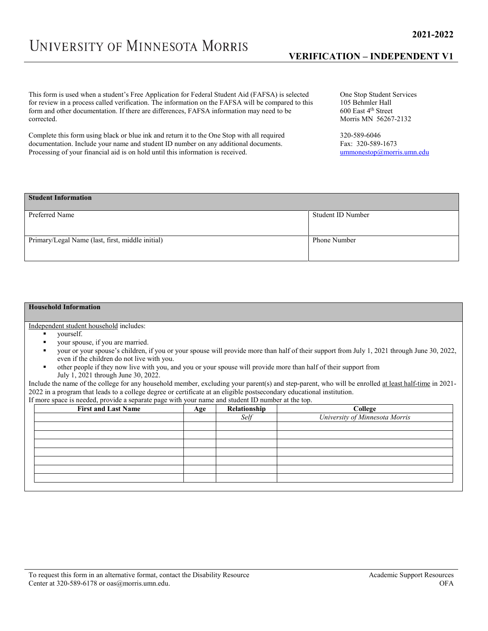## **VERIFICATION – INDEPENDENT V1**

This form is used when a student's Free Application for Federal Student Aid (FAFSA) is selected for review in a process called verification. The information on the FAFSA will be compared to this form and other documentation. If there are differences, FAFSA information may need to be corrected.

Complete this form using black or blue ink and return it to the One Stop with all required documentation. Include your name and student ID number on any additional documents. Processing of your financial aid is on hold until this information is received.

One Stop Student Services 105 Behmler Hall 600 East 4th Street Morris MN 56267-2132

320-589-6046 Fax: 320-589-1673 [ummonestop@morris.umn.edu](mailto:ummonestop@morris.umn.edu)

## **Student Information**

| Preferred Name                                   | Student ID Number |
|--------------------------------------------------|-------------------|
|                                                  |                   |
|                                                  |                   |
| Primary/Legal Name (last, first, middle initial) | Phone Number      |
|                                                  |                   |

## **Household Information**

Independent student household includes:

- yourself.
- your spouse, if you are married.
- your or your spouse's children, if you or your spouse will provide more than half of their support from July 1, 2021 through June 30, 2022, even if the children do not live with you.
- other people if they now live with you, and you or your spouse will provide more than half of their support from July 1, 2021 through June 30, 2022.

Include the name of the college for any household member, excluding your parent(s) and step-parent, who will be enrolled at least half-time in 2021- 2022 in a program that leads to a college degree or certificate at an eligible postsecondary educational institution. If more space is needed, provide a separate page with your name and student ID number at the top.

| $\sim$ $\sim$<br><b>First and Last Name</b> | Age | Relationship | College                        |
|---------------------------------------------|-----|--------------|--------------------------------|
|                                             |     | Self         | University of Minnesota Morris |
|                                             |     |              |                                |
|                                             |     |              |                                |
|                                             |     |              |                                |
|                                             |     |              |                                |
|                                             |     |              |                                |
|                                             |     |              |                                |
|                                             |     |              |                                |
|                                             |     |              |                                |